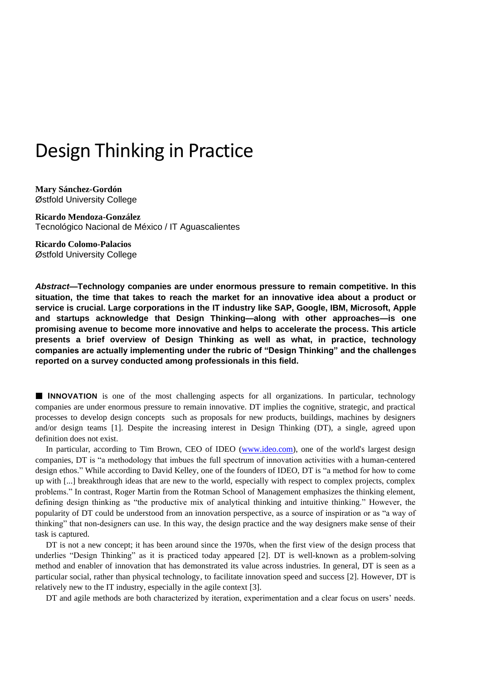# Design Thinking in Practice

**Mary Sánchez-Gordón** Østfold University College

**Ricardo Mendoza-González** Tecnológico Nacional de México / IT Aguascalientes

**Ricardo Colomo-Palacios** Østfold University College

*Abstract***—Technology companies are under enormous pressure to remain competitive. In this situation, the time that takes to reach the market for an innovative idea about a product or service is crucial. Large corporations in the IT industry like SAP, Google, IBM, Microsoft, Apple and startups acknowledge that Design Thinking—along with other approaches—is one promising avenue to become more innovative and helps to accelerate the process. This article presents a brief overview of Design Thinking as well as what, in practice, technology companies are actually implementing under the rubric of "Design Thinking" and the challenges reported on a survey conducted among professionals in this field.**

**III** INNOVATION is one of the most challenging aspects for all organizations. In particular, technology companies are under enormous pressure to remain innovative. DT implies the cognitive, strategic, and practical processes to develop design concepts such as proposals for new products, buildings, machines by designers and/or design teams [1]. Despite the increasing interest in Design Thinking (DT), a single, agreed upon definition does not exist.

In particular, according to Tim Brown, CEO of IDEO [\(www.ideo.com\)](http://www.ideo.com/), one of the world's largest design companies, DT is "a methodology that imbues the full spectrum of innovation activities with a human-centered design ethos." While according to David Kelley, one of the founders of IDEO, DT is "a method for how to come up with [...] breakthrough ideas that are new to the world, especially with respect to complex projects, complex problems." In contrast, Roger Martin from the Rotman School of Management emphasizes the thinking element, defining design thinking as "the productive mix of analytical thinking and intuitive thinking." However, the popularity of DT could be understood from an innovation perspective, as a source of inspiration or as "a way of thinking" that non‐designers can use. In this way, the design practice and the way designers make sense of their task is captured.

DT is not a new concept; it has been around since the 1970s, when the first view of the design process that underlies "Design Thinking" as it is practiced today appeared [2]. DT is well-known as a problem-solving method and enabler of innovation that has demonstrated its value across industries. In general, DT is seen as a particular social, rather than physical technology, to facilitate innovation speed and success [2]. However, DT is relatively new to the IT industry, especially in the agile context [3].

DT and agile methods are both characterized by iteration, experimentation and a clear focus on users' needs.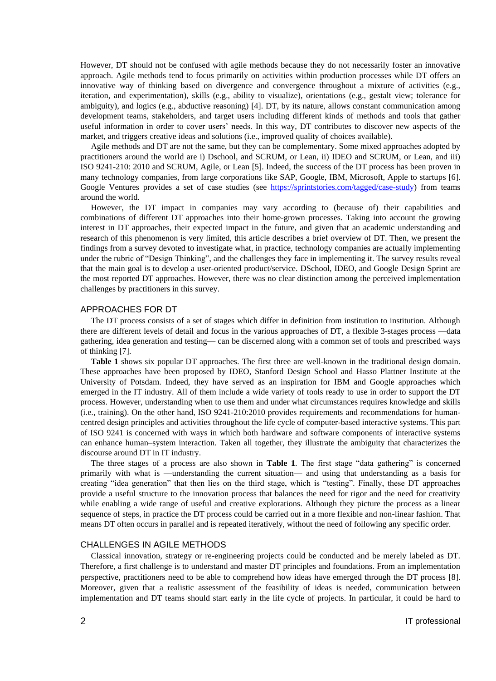However, DT should not be confused with agile methods because they do not necessarily foster an innovative approach. Agile methods tend to focus primarily on activities within production processes while DT offers an innovative way of thinking based on divergence and convergence throughout a mixture of activities (e.g., iteration, and experimentation), skills (e.g., ability to visualize), orientations (e.g., gestalt view; tolerance for ambiguity), and logics (e.g., abductive reasoning) [4]. DT, by its nature, allows constant communication among development teams, stakeholders, and target users including different kinds of methods and tools that gather useful information in order to cover users' needs. In this way, DT contributes to discover new aspects of the market, and triggers creative ideas and solutions (i.e., improved quality of choices available).

Agile methods and DT are not the same, but they can be complementary. Some mixed approaches adopted by practitioners around the world are i) Dschool, and SCRUM, or Lean, ii) IDEO and SCRUM, or Lean, and iii) ISO 9241-210: 2010 and SCRUM, Agile, or Lean [5]. Indeed, the success of the DT process has been proven in many technology companies, from large corporations like SAP, Google, IBM, Microsoft, Apple to startups [6]. Google Ventures provides a set of case studies (see [https://sprintstories.com/tagged/case-study\)](https://sprintstories.com/tagged/case-study) from teams around the world.

However, the DT impact in companies may vary according to (because of) their capabilities and combinations of different DT approaches into their home-grown processes. Taking into account the growing interest in DT approaches, their expected impact in the future, and given that an academic understanding and research of this phenomenon is very limited, this article describes a brief overview of DT. Then, we present the findings from a survey devoted to investigate what, in practice, technology companies are actually implementing under the rubric of "Design Thinking", and the challenges they face in implementing it. The survey results reveal that the main goal is to develop a user-oriented product/service. DSchool, IDEO, and Google Design Sprint are the most reported DT approaches. However, there was no clear distinction among the perceived implementation challenges by practitioners in this survey.

## APPROACHES FOR DT

The DT process consists of a set of stages which differ in definition from institution to institution. Although there are different levels of detail and focus in the various approaches of DT, a flexible 3-stages process —data gathering, idea generation and testing— can be discerned along with a common set of tools and prescribed ways of thinking [7].

**Table 1** shows six popular DT approaches. The first three are well-known in the traditional design domain. These approaches have been proposed by IDEO, Stanford Design School and Hasso Plattner Institute at the University of Potsdam. Indeed, they have served as an inspiration for IBM and Google approaches which emerged in the IT industry. All of them include a wide variety of tools ready to use in order to support the DT process. However, understanding when to use them and under what circumstances requires knowledge and skills (i.e., training). On the other hand, ISO 9241-210:2010 provides requirements and recommendations for humancentred design principles and activities throughout the life cycle of computer-based interactive systems. This part of ISO 9241 is concerned with ways in which both hardware and software components of interactive systems can enhance human–system interaction. Taken all together, they illustrate the ambiguity that characterizes the discourse around DT in IT industry.

The three stages of a process are also shown in **Table 1**. The first stage "data gathering" is concerned primarily with what is —understanding the current situation— and using that understanding as a basis for creating "idea generation" that then lies on the third stage, which is "testing". Finally, these DT approaches provide a useful structure to the innovation process that balances the need for rigor and the need for creativity while enabling a wide range of useful and creative explorations. Although they picture the process as a linear sequence of steps, in practice the DT process could be carried out in a more flexible and non-linear fashion. That means DT often occurs in parallel and is repeated iteratively, without the need of following any specific order.

#### CHALLENGES IN AGILE METHODS

Classical innovation, strategy or re-engineering projects could be conducted and be merely labeled as DT. Therefore, a first challenge is to understand and master DT principles and foundations. From an implementation perspective, practitioners need to be able to comprehend how ideas have emerged through the DT process [8]. Moreover, given that a realistic assessment of the feasibility of ideas is needed, communication between implementation and DT teams should start early in the life cycle of projects. In particular, it could be hard to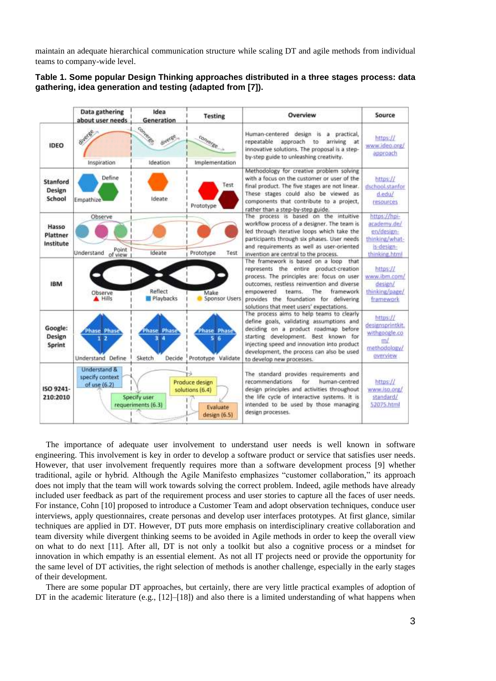maintain an adequate hierarchical communication structure while scaling DT and agile methods from individual teams to company-wide level.

|                                | Data gathering<br>about user needs                         | Idea<br>Generation                          | <b>Testing</b>                                                | Overview                                                                                                                                                                                                                                                                                                      | Source                                                                                     |
|--------------------------------|------------------------------------------------------------|---------------------------------------------|---------------------------------------------------------------|---------------------------------------------------------------------------------------------------------------------------------------------------------------------------------------------------------------------------------------------------------------------------------------------------------------|--------------------------------------------------------------------------------------------|
| <b>IDFO</b>                    | diverse<br>Inspiration                                     | Converter<br>doverse<br>Ideation            | converge<br>Implementation                                    | Human-centered design is<br>a practical,<br>repeatable<br>approach to<br>arriving<br>at.<br>innovative solutions. The proposal is a step-<br>by-step guide to unleashing creativity.                                                                                                                          | https://<br>www.ideo.org/<br>approach                                                      |
| Stanford<br>Design<br>School   | Define<br>Empathize                                        | Ideate                                      | Test<br>Prototype                                             | Methodology for creative problem solving<br>with a focus on the customer or user of the<br>final product. The five stages are not linear.<br>These stages could also be viewed as<br>components that contribute to a project,<br>rather than a step-by-step guide.                                            | https://<br>dschool.stanfor<br>d.edu/<br>resources                                         |
| Hasso<br>Plattner<br>Institute | Observe<br>Point<br>Understand<br>of view                  | Ideate                                      | Prototype<br>Test                                             | The process is based on the intuitive<br>workflow process of a designer. The team is<br>led through iterative loops which take the<br>participants through six phases. User needs<br>and requirements as well as user-oriented<br>invention are central to the process.                                       | https://hpi-<br>academy.de/<br>en/design-<br>thinking/what-<br>is design-<br>thinking html |
| <b>IBM</b>                     | Observe<br><b>A</b> Hills                                  | Reflect<br>Playbacks                        | Make<br>Sponsor Users                                         | The framework is based on a loop that<br>represents the entire product-creation<br>process. The principles are: focus on user<br>outcomes, restless reinvention and diverse<br>empowered.<br>The<br>framework<br>teams.<br>provides the foundation for delivering<br>solutions that meet users' expectations. | https://<br>www.ibm.com/<br>design/<br>thinking/page/<br>framework                         |
| Google:<br>Design<br>Sprint    | <b>Phase Phase</b><br>$1-2$<br>Understand Define           | <b>Phase Phase</b><br>Δ<br>Sketch<br>Decide | <b>Phase Phase</b><br>5.6<br>Prototype Validate               | The process aims to help teams to clearly<br>define goals, validating assumptions and<br>deciding on a product roadmap before<br>starting development. Best known for<br>injecting speed and innovation into product<br>development, the process can also be used<br>to develop new processes.                | https://<br>designsprintkit.<br>withgoogle.co<br>m/<br>methodology/<br>overview            |
| ISO 9241-<br>210:2010          | <b>Understand &amp;</b><br>specify context<br>of use (6.2) | Specify user<br>requeriments (6.3)          | Produce design<br>solutions (6.4)<br>Evaluate<br>design (6.5) | The standard provides requirements and<br>recommendations<br>for<br>human-centred<br>design principles and activities throughout<br>the life cycle of interactive systems. It is<br>intended to be used by those managing<br>design processes.                                                                | https://<br>www.iso.org/<br>standard/<br>52075.html                                        |

**Table 1. Some popular Design Thinking approaches distributed in a three stages process: data gathering, idea generation and testing (adapted from [7]).**

The importance of adequate user involvement to understand user needs is well known in software engineering. This involvement is key in order to develop a software product or service that satisfies user needs. However, that user involvement frequently requires more than a software development process [9] whether traditional, agile or hybrid. Although the Agile Manifesto emphasizes "customer collaboration," its approach does not imply that the team will work towards solving the correct problem. Indeed, agile methods have already included user feedback as part of the requirement process and user stories to capture all the faces of user needs. For instance, Cohn [10] proposed to introduce a Customer Team and adopt observation techniques, conduce user interviews, apply questionnaires, create personas and develop user interfaces prototypes. At first glance, similar techniques are applied in DT. However, DT puts more emphasis on interdisciplinary creative collaboration and team diversity while divergent thinking seems to be avoided in Agile methods in order to keep the overall view on what to do next [11]. After all, DT is not only a toolkit but also a cognitive process or a mindset for innovation in which empathy is an essential element. As not all IT projects need or provide the opportunity for the same level of DT activities, the right selection of methods is another challenge, especially in the early stages of their development.

There are some popular DT approaches, but certainly, there are very little practical examples of adoption of DT in the academic literature (e.g.,  $[12]$ – $[18]$ ) and also there is a limited understanding of what happens when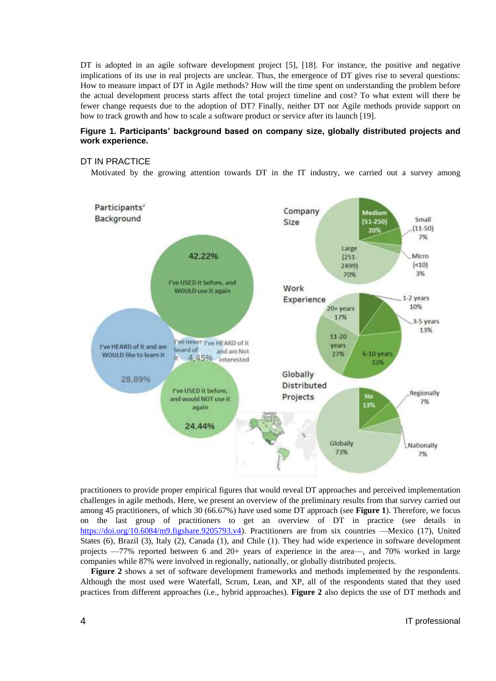DT is adopted in an agile software development project [5], [18]. For instance, the positive and negative implications of its use in real projects are unclear. Thus, the emergence of DT gives rise to several questions: How to measure impact of DT in Agile methods? How will the time spent on understanding the problem before the actual development process starts affect the total project timeline and cost? To what extent will there be fewer change requests due to the adoption of DT? Finally, neither DT nor Agile methods provide support on how to track growth and how to scale a software product or service after its launch [19].

## **Figure 1. Participants' background based on company size, globally distributed projects and work experience.**

## DT IN PRACTICE

Motivated by the growing attention towards DT in the IT industry, we carried out a survey among



practitioners to provide proper empirical figures that would reveal DT approaches and perceived implementation challenges in agile methods. Here, we present an overview of the preliminary results from that survey carried out among 45 practitioners, of which 30 (66.67%) have used some DT approach (see **Figure 1**). Therefore, we focus on the last group of practitioners to get an overview of DT in practice (see details in [https://doi.org/10.6084/m9.figshare.9205793.v4\)](https://doi.org/10.6084/m9.figshare.9205793.v4). Practitioners are from six countries —Mexico (17), United States (6), Brazil (3), Italy (2), Canada (1), and Chile (1). They had wide experience in software development projects —77% reported between 6 and 20+ years of experience in the area—, and 70% worked in large companies while 87% were involved in regionally, nationally, or globally distributed projects.

**Figure 2** shows a set of software development frameworks and methods implemented by the respondents. Although the most used were Waterfall, Scrum, Lean, and XP, all of the respondents stated that they used practices from different approaches (i.e., hybrid approaches). **Figure 2** also depicts the use of DT methods and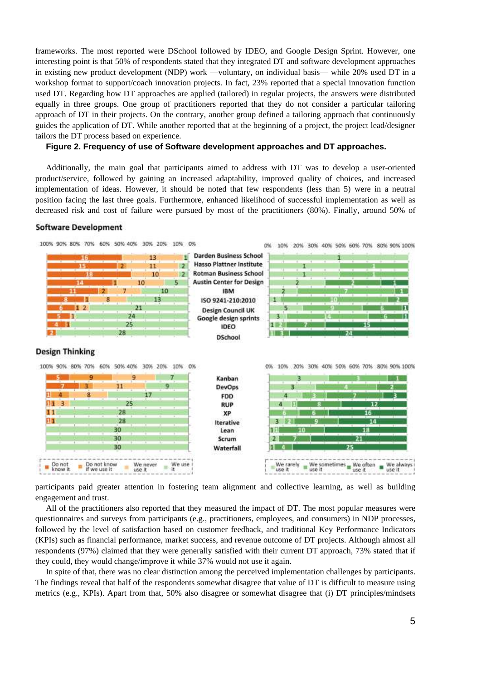frameworks. The most reported were DSchool followed by IDEO, and Google Design Sprint. However, one interesting point is that 50% of respondents stated that they integrated DT and software development approaches in existing new product development (NDP) work —voluntary, on individual basis— while 20% used DT in a workshop format to support/coach innovation projects. In fact, 23% reported that a special innovation function used DT. Regarding how DT approaches are applied (tailored) in regular projects, the answers were distributed equally in three groups. One group of practitioners reported that they do not consider a particular tailoring approach of DT in their projects. On the contrary, another group defined a tailoring approach that continuously guides the application of DT. While another reported that at the beginning of a project, the project lead/designer tailors the DT process based on experience.

### **Figure 2. Frequency of use of Software development approaches and DT approaches.**

Additionally, the main goal that participants aimed to address with DT was to develop a user-oriented product/service, followed by gaining an increased adaptability, improved quality of choices, and increased implementation of ideas. However, it should be noted that few respondents (less than 5) were in a neutral position facing the last three goals. Furthermore, enhanced likelihood of successful implementation as well as decreased risk and cost of failure were pursued by most of the practitioners (80%). Finally, around 50% of

#### **Software Development**



participants paid greater attention in fostering team alignment and collective learning, as well as building engagement and trust.

All of the practitioners also reported that they measured the impact of DT. The most popular measures were questionnaires and surveys from participants (e.g., practitioners, employees, and consumers) in NDP processes, followed by the level of satisfaction based on customer feedback, and traditional Key Performance Indicators (KPIs) such as financial performance, market success, and revenue outcome of DT projects. Although almost all respondents (97%) claimed that they were generally satisfied with their current DT approach, 73% stated that if they could, they would change/improve it while 37% would not use it again.

In spite of that, there was no clear distinction among the perceived implementation challenges by participants. The findings reveal that half of the respondents somewhat disagree that value of DT is difficult to measure using metrics (e.g., KPIs). Apart from that, 50% also disagree or somewhat disagree that (i) DT principles/mindsets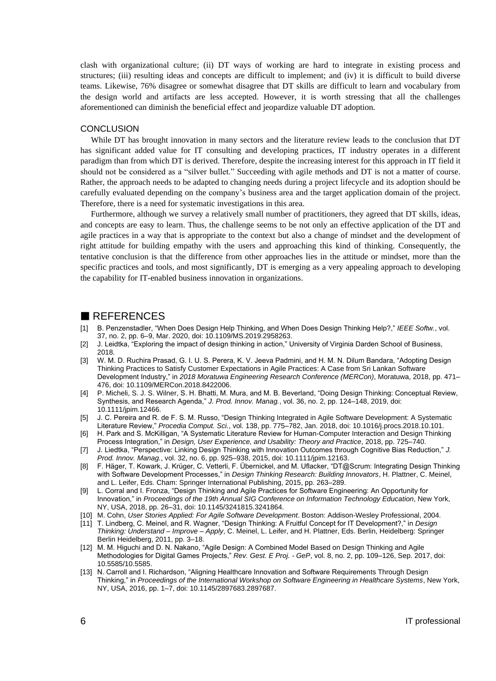clash with organizational culture; (ii) DT ways of working are hard to integrate in existing process and structures; (iii) resulting ideas and concepts are difficult to implement; and (iv) it is difficult to build diverse teams. Likewise, 76% disagree or somewhat disagree that DT skills are difficult to learn and vocabulary from the design world and artifacts are less accepted. However, it is worth stressing that all the challenges aforementioned can diminish the beneficial effect and jeopardize valuable DT adoption.

#### **CONCLUSION**

While DT has brought innovation in many sectors and the literature review leads to the conclusion that DT has significant added value for IT consulting and developing practices, IT industry operates in a different paradigm than from which DT is derived. Therefore, despite the increasing interest for this approach in IT field it should not be considered as a "silver bullet." Succeeding with agile methods and DT is not a matter of course. Rather, the approach needs to be adapted to changing needs during a project lifecycle and its adoption should be carefully evaluated depending on the company's business area and the target application domain of the project. Therefore, there is a need for systematic investigations in this area.

Furthermore, although we survey a relatively small number of practitioners, they agreed that DT skills, ideas, and concepts are easy to learn. Thus, the challenge seems to be not only an effective application of the DT and agile practices in a way that is appropriate to the context but also a change of mindset and the development of right attitude for building empathy with the users and approaching this kind of thinking. Consequently, the tentative conclusion is that the difference from other approaches lies in the attitude or mindset, more than the specific practices and tools, and most significantly, DT is emerging as a very appealing approach to developing the capability for IT-enabled business innovation in organizations.

## REFERENCES

- [1] B. Penzenstadler, "When Does Design Help Thinking, and When Does Design Thinking Help?," *IEEE Softw.*, vol. 37, no. 2, pp. 6–9, Mar. 2020, doi: 10.1109/MS.2019.2958263.
- [2] J. Leidtka, "Exploring the impact of design thinking in action," University of Virginia Darden School of Business, 2018.
- [3] W. M. D. Ruchira Prasad, G. I. U. S. Perera, K. V. Jeeva Padmini, and H. M. N. Dilum Bandara, "Adopting Design Thinking Practices to Satisfy Customer Expectations in Agile Practices: A Case from Sri Lankan Software Development Industry," in *2018 Moratuwa Engineering Research Conference (MERCon)*, Moratuwa, 2018, pp. 471– 476, doi: 10.1109/MERCon.2018.8422006.
- [4] P. Micheli, S. J. S. Wilner, S. H. Bhatti, M. Mura, and M. B. Beverland, "Doing Design Thinking: Conceptual Review, Synthesis, and Research Agenda," *J. Prod. Innov. Manag.*, vol. 36, no. 2, pp. 124–148, 2019, doi: 10.1111/jpim.12466.
- [5] J. C. Pereira and R. de F. S. M. Russo, "Design Thinking Integrated in Agile Software Development: A Systematic Literature Review," *Procedia Comput. Sci.*, vol. 138, pp. 775–782, Jan. 2018, doi: 10.1016/j.procs.2018.10.101.
- [6] H. Park and S. McKilligan, "A Systematic Literature Review for Human-Computer Interaction and Design Thinking Process Integration," in *Design, User Experience, and Usability: Theory and Practice*, 2018, pp. 725–740.
- [7] J. Liedtka, "Perspective: Linking Design Thinking with Innovation Outcomes through Cognitive Bias Reduction," *J. Prod. Innov. Manag.*, vol. 32, no. 6, pp. 925–938, 2015, doi: 10.1111/jpim.12163.
- [8] F. Häger, T. Kowark, J. Krüger, C. Vetterli, F. Übernickel, and M. Uflacker, "DT@Scrum: Integrating Design Thinking with Software Development Processes," in *Design Thinking Research: Building Innovators*, H. Plattner, C. Meinel, and L. Leifer, Eds. Cham: Springer International Publishing, 2015, pp. 263–289.
- [9] L. Corral and I. Fronza, "Design Thinking and Agile Practices for Software Engineering: An Opportunity for Innovation," in *Proceedings of the 19th Annual SIG Conference on Information Technology Education*, New York, NY, USA, 2018, pp. 26–31, doi: 10.1145/3241815.3241864.
- [10] M. Cohn, *User Stories Applied: For Agile Software Development*. Boston: Addison-Wesley Professional, 2004.
- [11] T. Lindberg, C. Meinel, and R. Wagner, "Design Thinking: A Fruitful Concept for IT Development?," in *Design Thinking: Understand – Improve – Apply*, C. Meinel, L. Leifer, and H. Plattner, Eds. Berlin, Heidelberg: Springer Berlin Heidelberg, 2011, pp. 3–18.
- [12] M. M. Higuchi and D. N. Nakano, "Agile Design: A Combined Model Based on Design Thinking and Agile Methodologies for Digital Games Projects," *Rev. Gest. E Proj. - GeP*, vol. 8, no. 2, pp. 109–126, Sep. 2017, doi: 10.5585/10.5585.
- [13] N. Carroll and I. Richardson, "Aligning Healthcare Innovation and Software Requirements Through Design Thinking," in *Proceedings of the International Workshop on Software Engineering in Healthcare Systems*, New York, NY, USA, 2016, pp. 1–7, doi: 10.1145/2897683.2897687.